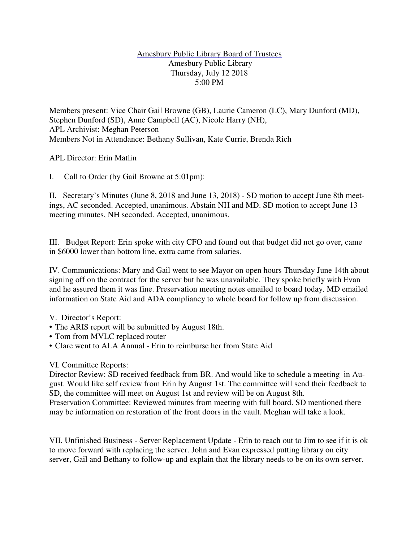## Amesbury Public Library Board of Trustees Amesbury Public Library Thursday, July 12 2018 5:00 PM

Members present: Vice Chair Gail Browne (GB), Laurie Cameron (LC), Mary Dunford (MD), Stephen Dunford (SD), Anne Campbell (AC), Nicole Harry (NH), APL Archivist: Meghan Peterson Members Not in Attendance: Bethany Sullivan, Kate Currie, Brenda Rich

APL Director: Erin Matlin

I. Call to Order (by Gail Browne at 5:01pm):

II. Secretary's Minutes (June 8, 2018 and June 13, 2018) - SD motion to accept June 8th meetings, AC seconded. Accepted, unanimous. Abstain NH and MD. SD motion to accept June 13 meeting minutes, NH seconded. Accepted, unanimous.

III. Budget Report: Erin spoke with city CFO and found out that budget did not go over, came in \$6000 lower than bottom line, extra came from salaries.

IV. Communications: Mary and Gail went to see Mayor on open hours Thursday June 14th about signing off on the contract for the server but he was unavailable. They spoke briefly with Evan and he assured them it was fine. Preservation meeting notes emailed to board today. MD emailed information on State Aid and ADA compliancy to whole board for follow up from discussion.

V. Director's Report:

- The ARIS report will be submitted by August 18th.
- Tom from MVLC replaced router
- Clare went to ALA Annual Erin to reimburse her from State Aid

## VI. Committee Reports:

Director Review: SD received feedback from BR. And would like to schedule a meeting in August. Would like self review from Erin by August 1st. The committee will send their feedback to SD, the committee will meet on August 1st and review will be on August 8th.

Preservation Committee: Reviewed minutes from meeting with full board. SD mentioned there may be information on restoration of the front doors in the vault. Meghan will take a look.

VII. Unfinished Business - Server Replacement Update - Erin to reach out to Jim to see if it is ok to move forward with replacing the server. John and Evan expressed putting library on city server, Gail and Bethany to follow-up and explain that the library needs to be on its own server.